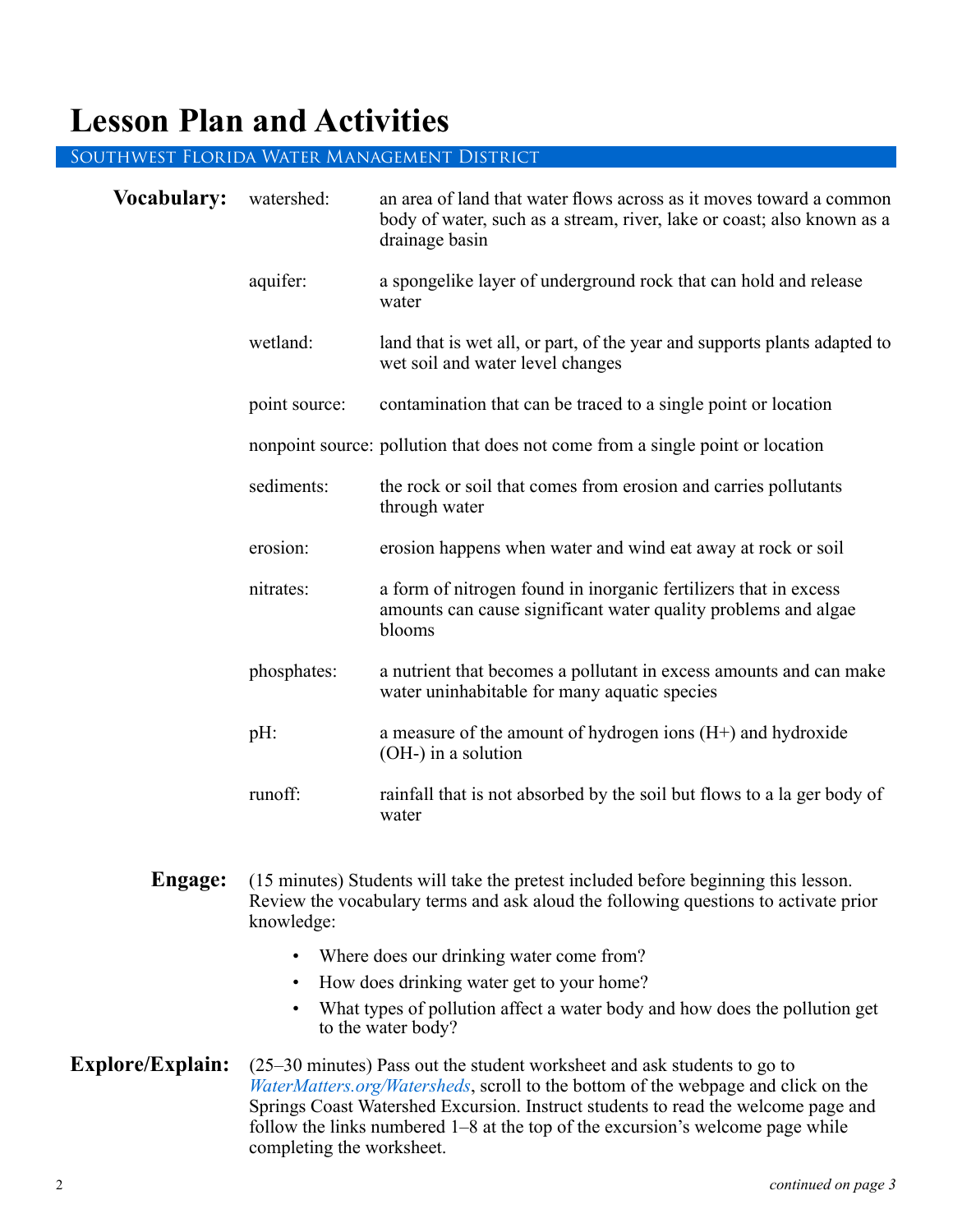### **Lesson Plan and Activities**

#### Southwest Florida Water Management District

| <b>Vocabulary:</b> | watershed:                                                                                                                                                                                                                                       | an area of land that water ows across as it moves toward a<br>common body of water, such as a stream, river, lake or coast; also<br>known as a drainage basin |  |  |
|--------------------|--------------------------------------------------------------------------------------------------------------------------------------------------------------------------------------------------------------------------------------------------|---------------------------------------------------------------------------------------------------------------------------------------------------------------|--|--|
|                    | spring:                                                                                                                                                                                                                                          | a place where groundwater discharges from the underlying<br>limestone bedrock to the Earth's surface through a natural opening<br>in the ground               |  |  |
|                    | Я<br>$\ddot{\cdot}$                                                                                                                                                                                                                              | the area of land that contributes groundwater to a spring                                                                                                     |  |  |
|                    | aquifer:                                                                                                                                                                                                                                         | a spongelike layer of underground rock that can hold and release<br>water                                                                                     |  |  |
|                    | wetland:                                                                                                                                                                                                                                         | land that is wet all, or part, of the year and supports plants adapted<br>to wet soil and water level changes                                                 |  |  |
|                    | point source:                                                                                                                                                                                                                                    | contamination that can be traced to a single point or location                                                                                                |  |  |
|                    | nonpoint source: pollution that does not come from a single point or location                                                                                                                                                                    |                                                                                                                                                               |  |  |
|                    | nitrates:                                                                                                                                                                                                                                        | a form of nitrogen found in inorganic fertilizers that in excess<br>amounts can cause significant water quality problems and algae<br>blooms                  |  |  |
|                    | runoff:                                                                                                                                                                                                                                          | rainhall that is not absorbed $\mathfrak b$ { the soil bwt hloys to a la ger bod { oh<br>y ater                                                               |  |  |
| Engage:            | (15 minutes) Students will take the pretest included before beginning this lesson.<br>Review the vocabulary terms and ask aloud the following questions to activate prior<br>knowledge:<br>Where does our drinking water come from?<br>$\bullet$ |                                                                                                                                                               |  |  |
|                    |                                                                                                                                                                                                                                                  |                                                                                                                                                               |  |  |
|                    | How does drinking water get to your home?<br>$\bullet$                                                                                                                                                                                           |                                                                                                                                                               |  |  |
|                    |                                                                                                                                                                                                                                                  | What types of pollution affect a water body and how does the pollution get<br>to the water body?                                                              |  |  |

**Explore/Explain:** (25–30 minutes) Pass out the student worksheet and ask students to go to *WaterMatters.org/Watersheds*, scroll to the bottom of the webpage and click on the Springs Coast Watershed Excursion. Instruct students to read the welcome page and follow the links numbered 1–8 at the top of the excursion's welcome page while completing the worksheet.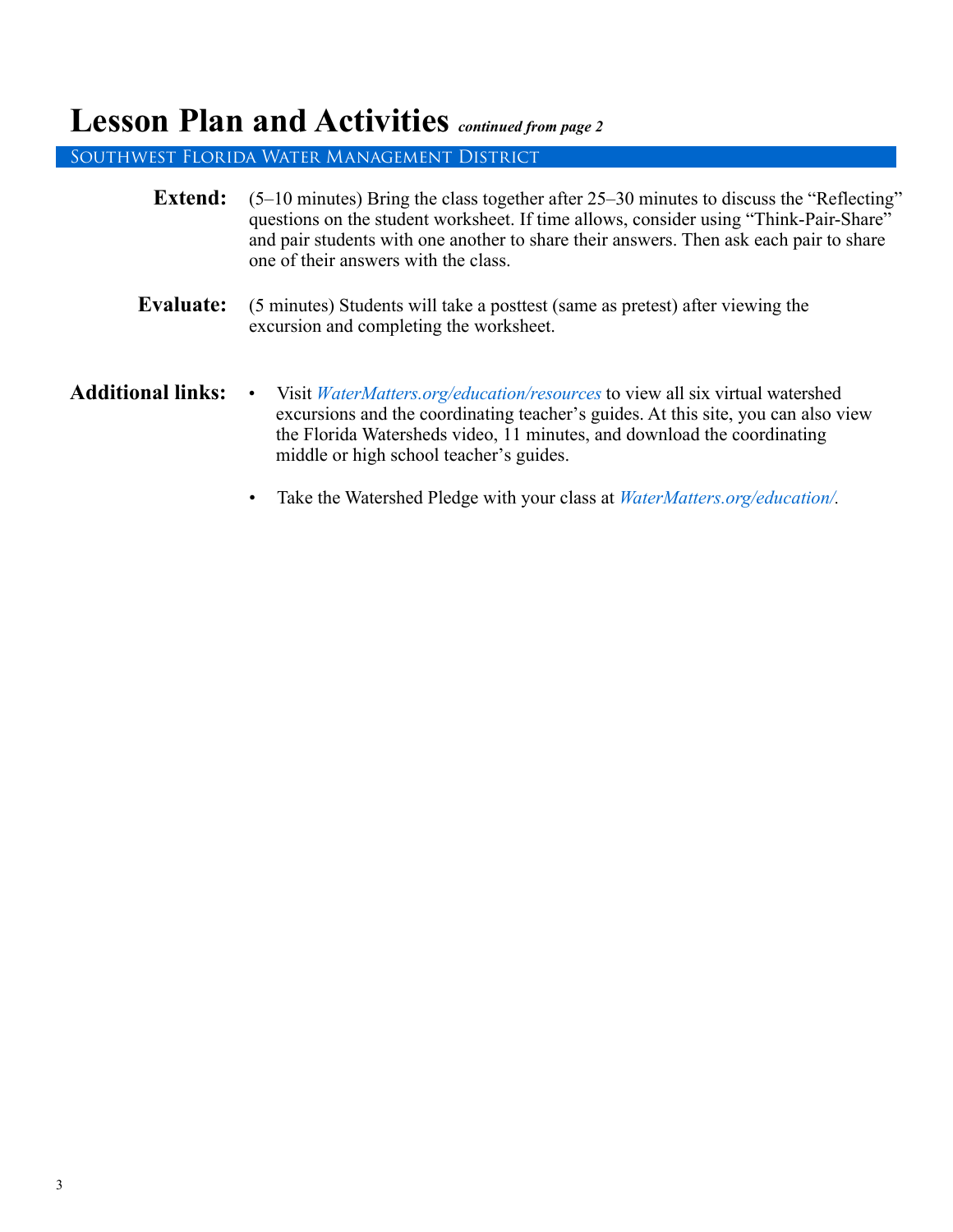### **Lesson Plan and Activities** *continued from page 2*

Southwest Florida Water Management District

| <b>Extend:</b>           | $(5-10 \text{ minutes})$ Bring the class together after 25–30 minutes to discuss the "Reflecting"<br>questions on the student worksheet. If time allows, consider using "Think-Pair-Share"<br>and pair students with one another to share their answers. Then ask each pair to share<br>one of their answers with the class. |  |
|--------------------------|------------------------------------------------------------------------------------------------------------------------------------------------------------------------------------------------------------------------------------------------------------------------------------------------------------------------------|--|
| Evaluate:                | (5 minutes) Students will take a posttest (same as pretest) after viewing the<br>excursion and completing the worksheet.                                                                                                                                                                                                     |  |
| <b>Additional links:</b> | Visit <i>WaterMatters.org/Education/Resources</i> to view all six virtual watershed<br>$\bullet$<br>excursions and the coordinating teacher's guides. At this site, you can also view<br>the Florida Watersheds video, 11 minutes, and download the coordinating<br>middle or high school teacher's guides.                  |  |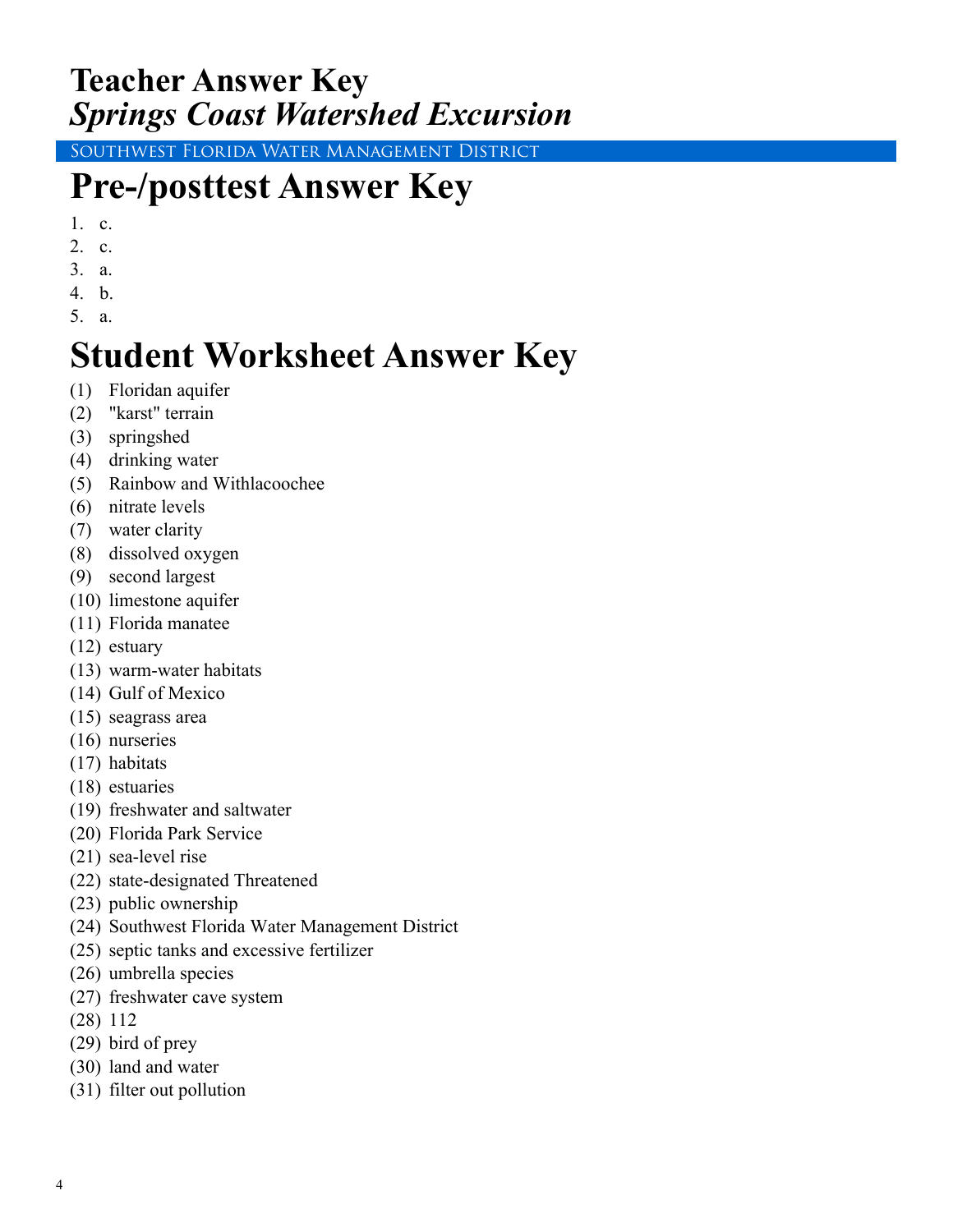### **Teacher Answer Key** *Springs Coast Watershed Excursion*

Southwest Florida Water Management District

## **Pre-/posttest Answer Key**

- 1. c.
- 2. c.
- 3. a.
- 4. b.
- 5. a.

# **Student Worksheet Answer Key**

- (1) Floridan aquifer
- (2) "karst" terrain
- (3) springshed
- (4) drinking water
- (5) Rainbow and Withlacoochee
- (6) nitrate levels
- (7) water clarity
- (8) dissolved oxygen
- (9) second largest
- (10) limestone aquifer
- (11) Florida manatee
- (12) estuary
- (13) warm-water habitats
- (14) Gulf of Mexico
- (15) seagrass area
- (16) nurseries
- (17) habitats
- (18) estuaries
- (19) freshwater and saltwater
- (20) Florida Park Service
- (21) sea-level rise
- (22) state-designated Threatened
- (23) public ownership
- (24) Southwest Florida Water Management District
- (25) septic tanks and excessive fertilizer
- (26) umbrella species
- (27) freshwater cave system
- (28) 112
- (29) bird of prey
- (30) land and water
- (31) filter out pollution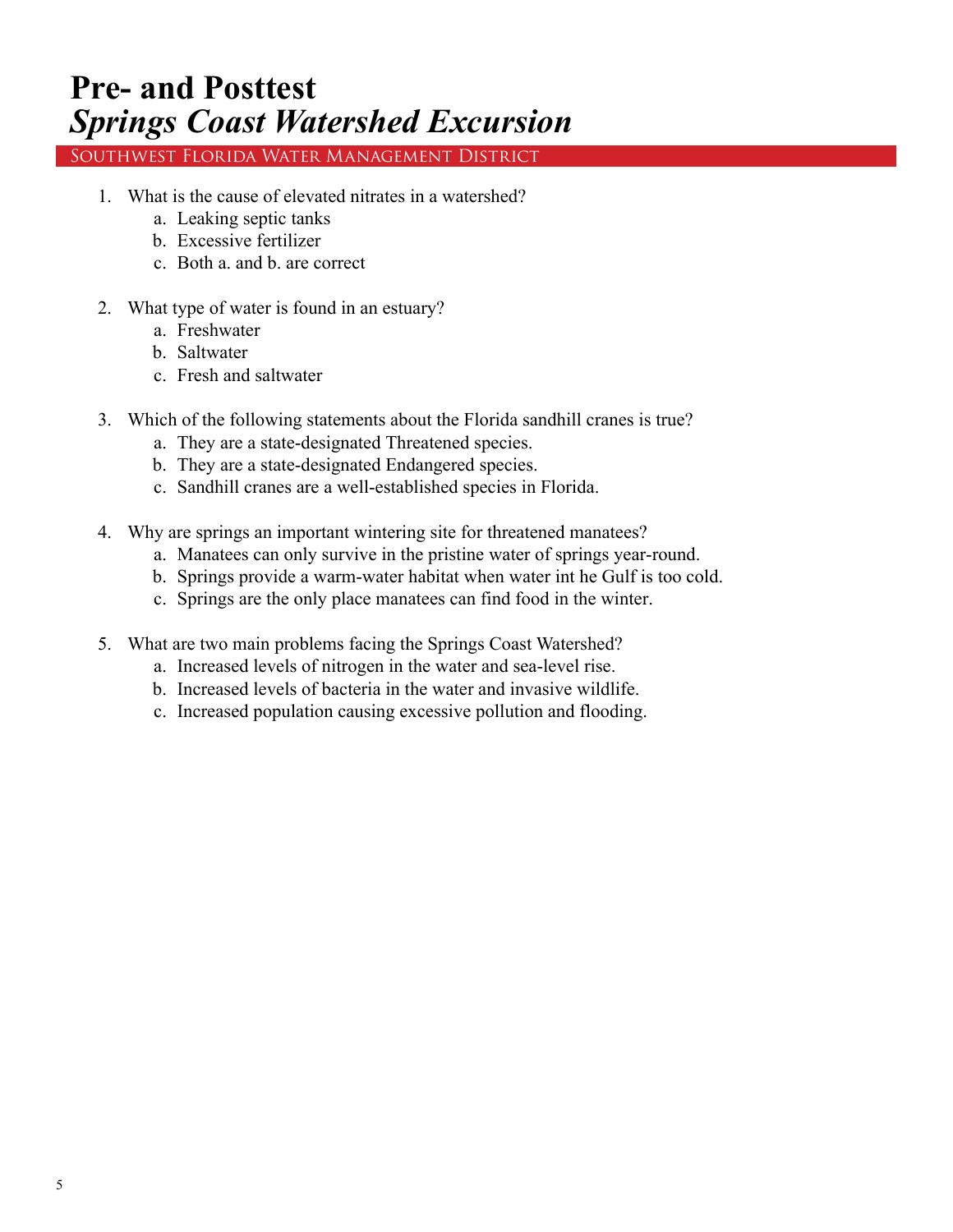### **Pre- and Posttest** *Springs Coast Watershed Excursion*

Southwest Florida Water Management District

- 1. What is the cause of elevated nitrates in a watershed?
	- a. Leaking septic tanks
	- b. Excessive fertilizer
	- c. Both a. and b. are correct
- 2. What type of water is found in an estuary?
	- a. Freshwater
	- b. Saltwater
	- c. Fresh and saltwater
- 3. Which of the following statements about the Florida sandhill cranes is true?
	- a. They are a state-designated Threatened species.
	- b. They are a state-designated Endangered species.
	- c. Sandhill cranes are a well-established species in Florida.
- 4. Why are springs an important wintering site for threatened manatees?
	- a. Manatees can only survive in the pristine water of springs year-round.
	- b. Springs provide a warm-water habitat when water int he Gulf is too cold.
	- c. Springs are the only place manatees can find food in the winter.
- 5. What are two main problems facing the Springs Coast Watershed?
	- a. Increased levels of nitrogen in the water and sea-level rise.
	- b. Increased levels of bacteria in the water and invasive wildlife.
	- c. Increased population causing excessive pollution and flooding.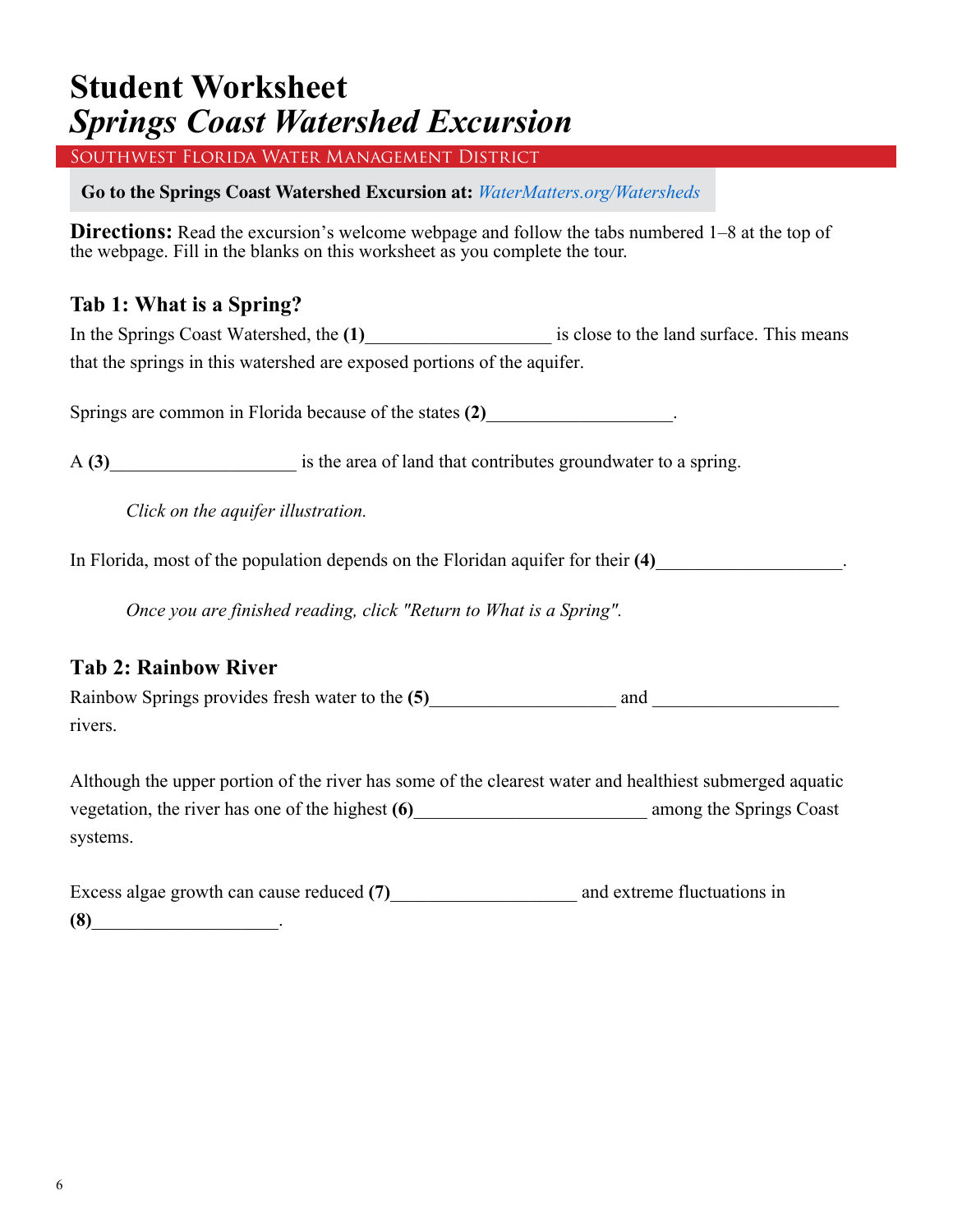Southwest Florida Water Management District

**Go to the Springs Coast Watershed Excursion at:** *WaterMatters.org/Watersheds*

**Directions:** Read the excursion's welcome webpage and follow the tabs numbered 1–8 at the top of the webpage. Fill in the blanks on this worksheet as you complete the tour.

#### **Tab 1: What is a Spring?**

In the Springs Coast Watershed, the **(1)** is close to the land surface. This means that the springs in this watershed are exposed portions of the aquifer.

Springs are common in Florida because of the states (2)

A (3) is the area of land that contributes groundwater to a spring.

*Click on the aquifer illustration.* 

In Florida, most of the population depends on the Floridan aquifer for their **(4)**\_\_\_\_\_\_\_\_\_\_\_\_\_\_\_\_\_\_\_\_.

*Once you are finished reading, click "Return to What is a Spring".*

### **Tab 2: Rainbow River**

Rainbow Springs provides fresh water to the (5) and and  $\Box$ rivers.

Although the upper portion of the river has some of the clearest water and healthiest submerged aquatic vegetation, the river has one of the highest **(6)** among the Springs Coast systems.

| Excess algae growth can cause reduced (7) | and extreme fluctuations in |
|-------------------------------------------|-----------------------------|
| (8)                                       |                             |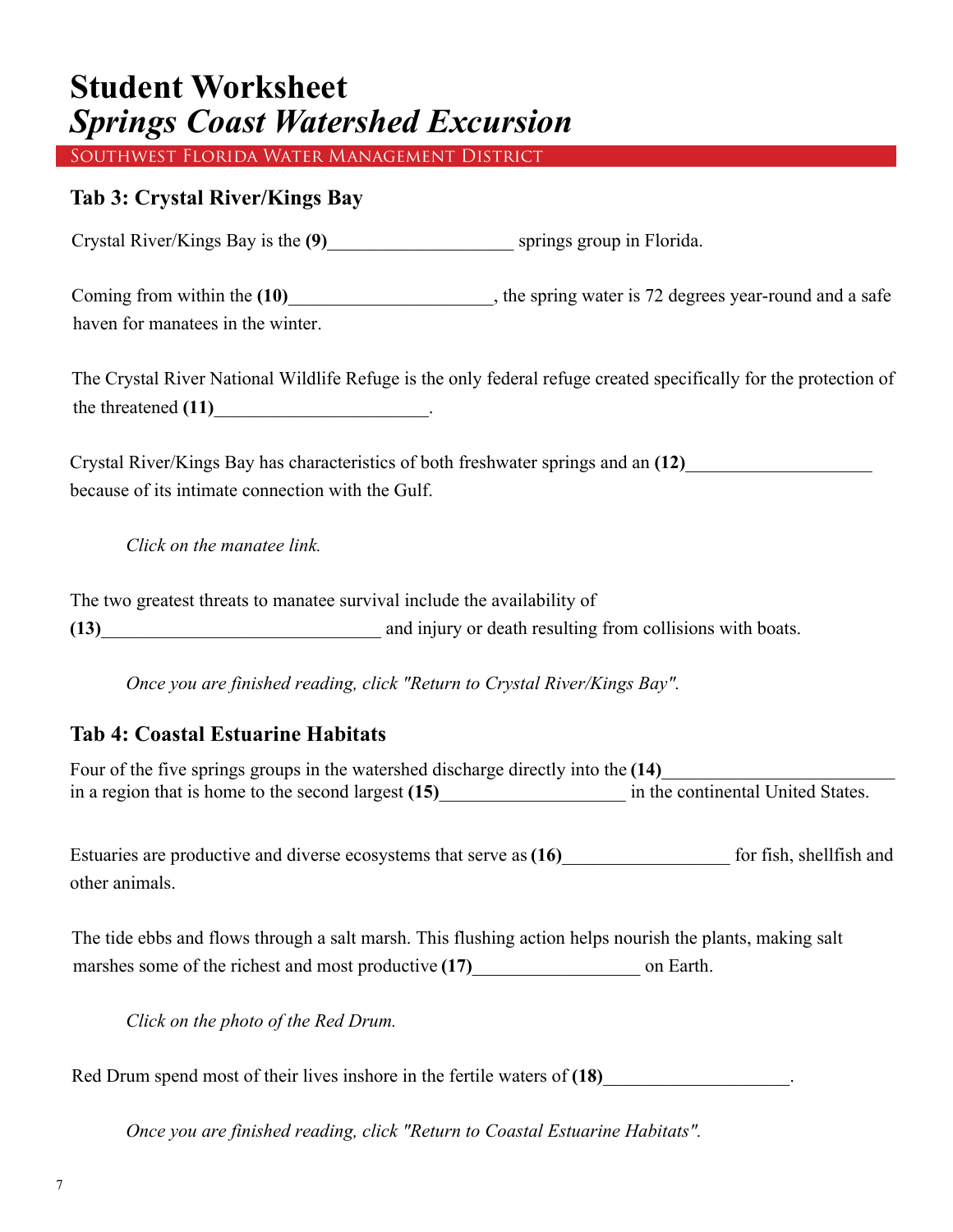Southwest Florida Water Management District

#### **Tab 3: Crystal River/Kings Bay**

Crystal River/Kings Bay is the **(9)**\_\_\_\_\_\_\_\_\_\_\_\_\_\_\_\_\_\_\_\_ springs group in Florida.

Coming from within the  $(10)$ \_\_\_\_\_\_\_\_\_\_\_\_\_\_\_\_\_\_, the spring water is 72 degrees year-round and a safe haven for manatees in the winter.

The Crystal River National Wildlife Refuge is the only federal refuge created specifically for the protection of the threatened (11) contracts the threatened (11) and the set of  $\mathbf{r}$  and  $\mathbf{r}$  and  $\mathbf{r}$  and  $\mathbf{r}$  and  $\mathbf{r}$  are set of  $\mathbf{r}$  and  $\mathbf{r}$  are set of  $\mathbf{r}$  and  $\mathbf{r}$  are set of  $\mathbf{r}$  and  $\mathbf{r$ 

Crystal River/Kings Bay has characteristics of both freshwater springs and an **(12)**\_\_\_\_\_\_\_\_\_\_\_\_\_\_\_\_\_\_\_\_ because of its intimate connection with the Gulf.

*Click on the manatee link.*

The two greatest threats to manatee survival include the availability of **(13)**\_\_\_\_\_\_\_\_\_\_\_\_\_\_\_\_\_\_\_\_\_\_\_\_\_\_\_\_\_\_ and injury or death resulting from collisions with boats.

*Once you are finished reading, click "Return to Crystal River/Kings Bay".*

#### **Tab 4: Coastal Estuarine Habitats**

Four of the five springs groups in the watershed discharge directly into the (14) in a region that is home to the second largest (15) in the continental United States.

Estuaries are productive and diverse ecosystems that serve as (16) for fish, shellfish and other animals.

The tide ebbs and flows through a salt marsh. This flushing action helps nourish the plants, making salt marshes some of the richest and most productive  $(17)$  on Earth.

*Click on the photo of the Red Drum.*

Red Drum spend most of their lives inshore in the fertile waters of (18)

*Once you are finished reading, click "Return to Coastal Estuarine Habitats".*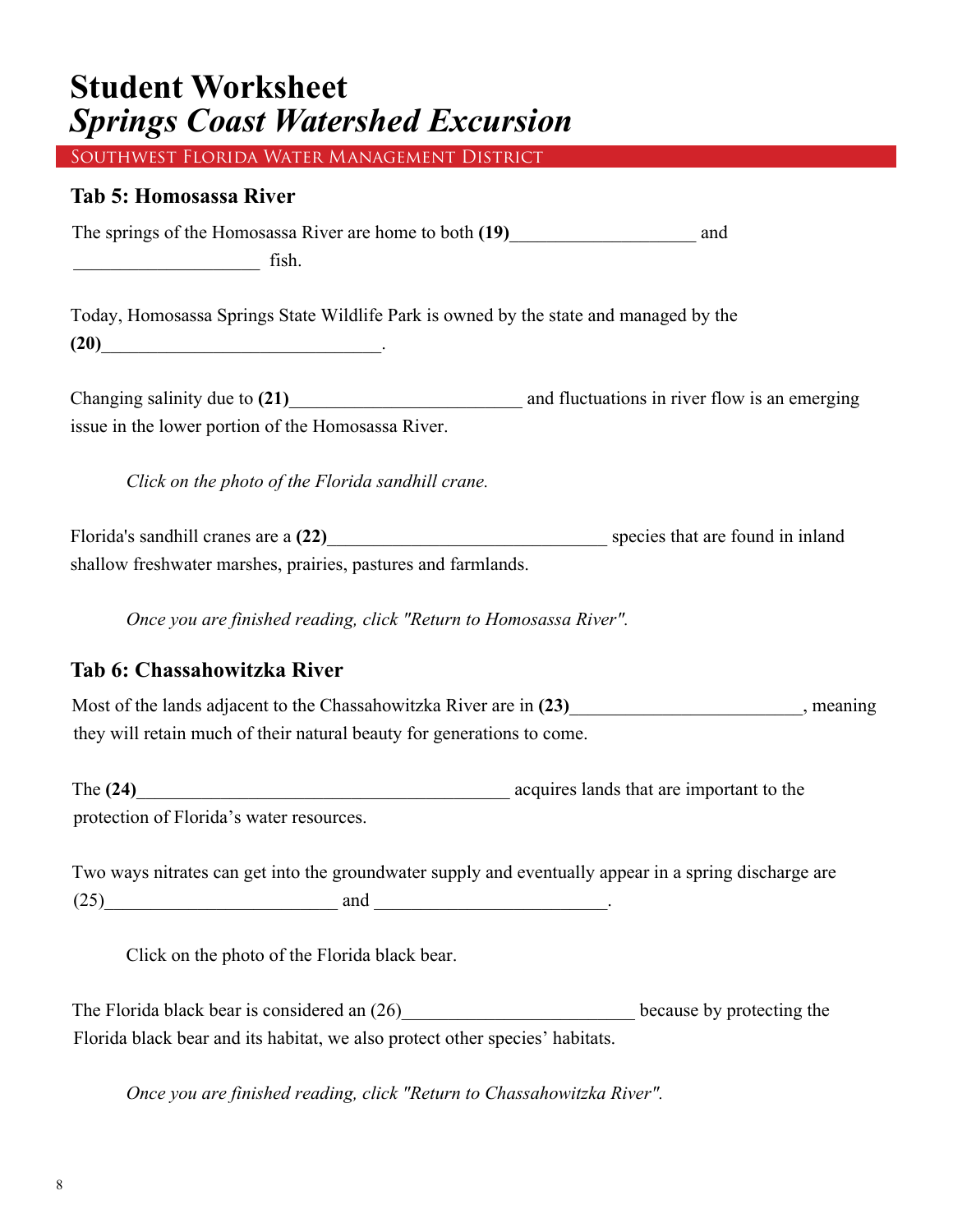Southwest Florida Water Management District

#### **Tab 5: Homosassa River**

The springs of the Homosassa River are home to both **(19)**\_\_\_\_\_\_\_\_\_\_\_\_\_\_\_\_\_\_\_\_ and  $\overline{\text{fish}}$ .

Today, Homosassa Springs State Wildlife Park is owned by the state and managed by the **(20)**\_\_\_\_\_\_\_\_\_\_\_\_\_\_\_\_\_\_\_\_\_\_\_\_\_\_\_\_\_\_.

Changing salinity due to **(21)**\_\_\_\_\_\_\_\_\_\_\_\_\_\_\_\_\_\_\_\_\_\_\_\_\_ and fluctuations in river flow is an emerging issue in the lower portion of the Homosassa River.

*Click on the photo of the Florida sandhill crane.*

Florida's sandhill cranes are a (22) **Example 20** species that are found in inland shallow freshwater marshes, prairies, pastures and farmlands.

*Once you are finished reading, click "Return to Homosassa River".*

#### **Tab 6: Chassahowitzka River**

Most of the lands adjacent to the Chassahowitzka River are in (23) meaning they will retain much of their natural beauty for generations to come.

The (24)<sup>2</sup> acquires lands that are important to the protection of Florida's water resources.

| Two ways nitrates can get into the groundwater supply and eventually appear in a spring discharge are |     |  |
|-------------------------------------------------------------------------------------------------------|-----|--|
| (25)                                                                                                  | and |  |

*Click on the photo of the Florida black bear.* 

The Florida black bear is considered an (26) because by protecting the Florida black bear and its habitat, we also protect other species' habitats.

*Once you are finished reading, click "Return to Chassahowitzka River".*